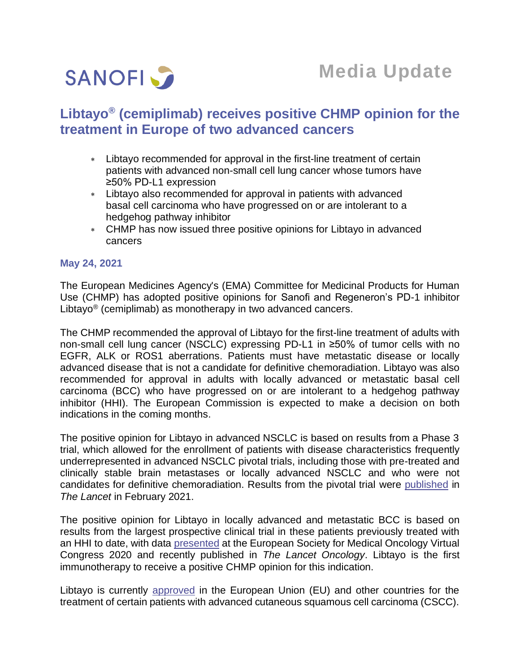

# **Libtayo® (cemiplimab) receives positive CHMP opinion for the treatment in Europe of two advanced cancers**

- Libtayo recommended for approval in the first-line treatment of certain patients with advanced non-small cell lung cancer whose tumors have ≥50% PD-L1 expression
- Libtayo also recommended for approval in patients with advanced basal cell carcinoma who have progressed on or are intolerant to a hedgehog pathway inhibitor
- CHMP has now issued three positive opinions for Libtayo in advanced cancers

## **May 24, 2021**

The European Medicines Agency's (EMA) Committee for Medicinal Products for Human Use (CHMP) has adopted positive opinions for Sanofi and Regeneron's PD-1 inhibitor Libtayo® (cemiplimab) as monotherapy in two advanced cancers.

The CHMP recommended the approval of Libtayo for the first-line treatment of adults with non-small cell lung cancer (NSCLC) expressing PD-L1 in ≥50% of tumor cells with no EGFR, ALK or ROS1 aberrations. Patients must have metastatic disease or locally advanced disease that is not a candidate for definitive chemoradiation. Libtayo was also recommended for approval in adults with locally advanced or metastatic basal cell carcinoma (BCC) who have progressed on or are intolerant to a hedgehog pathway inhibitor (HHI). The European Commission is expected to make a decision on both indications in the coming months.

The positive opinion for Libtayo in advanced NSCLC is based on results from a Phase 3 trial, which allowed for the enrollment of patients with disease characteristics frequently underrepresented in advanced NSCLC pivotal trials, including those with pre-treated and clinically stable brain metastases or locally advanced NSCLC and who were not candidates for definitive chemoradiation. Results from the pivotal trial were [published](https://www.sanofi.com/en/media-room/press-releases/2021/2021-02-12-07-00-00) in *The Lancet* in February 2021.

The positive opinion for Libtayo in locally advanced and metastatic BCC is based on results from the largest prospective clinical trial in these patients previously treated with an HHI to date, with data [presented](https://www.sanofi.com/en/media-room/press-releases/2020/2020-09-18-09-05-00) at the European Society for Medical Oncology Virtual Congress 2020 and recently published in *The Lancet Oncology*. Libtayo is the first immunotherapy to receive a positive CHMP opinion for this indication.

Libtayo is currently [approved](https://www.sanofi.com/en/media-room/press-releases/2019/2019-07-01-16-00-00) in the European Union (EU) and other countries for the treatment of certain patients with advanced cutaneous squamous cell carcinoma (CSCC).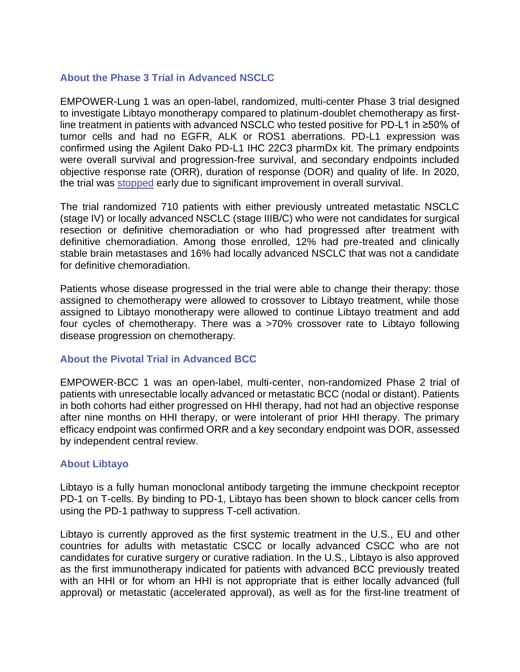# **About the Phase 3 Trial in Advanced NSCLC**

EMPOWER-Lung 1 was an open-label, randomized, multi-center Phase 3 trial designed to investigate Libtayo monotherapy compared to platinum-doublet chemotherapy as firstline treatment in patients with advanced NSCLC who tested positive for PD-L1 in ≥50% of tumor cells and had no EGFR, ALK or ROS1 aberrations. PD-L1 expression was confirmed using the Agilent Dako PD-L1 IHC 22C3 pharmDx kit. The primary endpoints were overall survival and progression-free survival, and secondary endpoints included objective response rate (ORR), duration of response (DOR) and quality of life. In 2020, the trial was [stopped](https://www.sanofi.com/en/media-room/press-releases/2020/2020-04-27-13-00-00) early due to significant improvement in overall survival.

The trial randomized 710 patients with either previously untreated metastatic NSCLC (stage IV) or locally advanced NSCLC (stage IIIB/C) who were not candidates for surgical resection or definitive chemoradiation or who had progressed after treatment with definitive chemoradiation. Among those enrolled, 12% had pre-treated and clinically stable brain metastases and 16% had locally advanced NSCLC that was not a candidate for definitive chemoradiation.

Patients whose disease progressed in the trial were able to change their therapy: those assigned to chemotherapy were allowed to crossover to Libtayo treatment, while those assigned to Libtayo monotherapy were allowed to continue Libtayo treatment and add four cycles of chemotherapy. There was a >70% crossover rate to Libtayo following disease progression on chemotherapy.

# **About the Pivotal Trial in Advanced BCC**

EMPOWER-BCC 1 was an open-label, multi-center, non-randomized Phase 2 trial of patients with unresectable locally advanced or metastatic BCC (nodal or distant). Patients in both cohorts had either progressed on HHI therapy, had not had an objective response after nine months on HHI therapy, or were intolerant of prior HHI therapy. The primary efficacy endpoint was confirmed ORR and a key secondary endpoint was DOR, assessed by independent central review.

# **About Libtayo**

Libtayo is a fully human monoclonal antibody targeting the immune checkpoint receptor PD-1 on T-cells. By binding to PD-1, Libtayo has been shown to block cancer cells from using the PD-1 pathway to suppress T-cell activation.

Libtayo is currently approved as the first systemic treatment in the U.S., EU and other countries for adults with metastatic CSCC or locally advanced CSCC who are not candidates for curative surgery or curative radiation. In the U.S., Libtayo is also approved as the first immunotherapy indicated for patients with advanced BCC previously treated with an HHI or for whom an HHI is not appropriate that is either locally advanced (full approval) or metastatic (accelerated approval), as well as for the first-line treatment of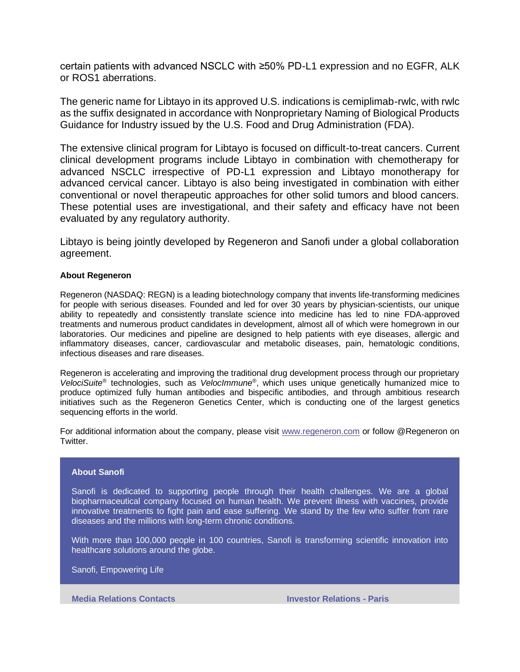certain patients with advanced NSCLC with ≥50% PD-L1 expression and no EGFR, ALK or ROS1 aberrations.

The generic name for Libtayo in its approved U.S. indications is cemiplimab-rwlc, with rwlc as the suffix designated in accordance with Nonproprietary Naming of Biological Products Guidance for Industry issued by the U.S. Food and Drug Administration (FDA).

The extensive clinical program for Libtayo is focused on difficult-to-treat cancers. Current clinical development programs include Libtayo in combination with chemotherapy for advanced NSCLC irrespective of PD-L1 expression and Libtayo monotherapy for advanced cervical cancer. Libtayo is also being investigated in combination with either conventional or novel therapeutic approaches for other solid tumors and blood cancers. These potential uses are investigational, and their safety and efficacy have not been evaluated by any regulatory authority.

Libtayo is being jointly developed by Regeneron and Sanofi under a global collaboration agreement.

## **About Regeneron**

Regeneron (NASDAQ: REGN) is a leading biotechnology company that invents life-transforming medicines for people with serious diseases. Founded and led for over 30 years by physician-scientists, our unique ability to repeatedly and consistently translate science into medicine has led to nine FDA-approved treatments and numerous product candidates in development, almost all of which were homegrown in our laboratories. Our medicines and pipeline are designed to help patients with eye diseases, allergic and inflammatory diseases, cancer, cardiovascular and metabolic diseases, pain, hematologic conditions, infectious diseases and rare diseases.

Regeneron is accelerating and improving the traditional drug development process through our proprietary *VelociSuite®* technologies, such as *VelocImmune®* , which uses unique genetically humanized mice to produce optimized fully human antibodies and bispecific antibodies, and through ambitious research initiatives such as the Regeneron Genetics Center, which is conducting one of the largest genetics sequencing efforts in the world.

For additional information about the company, please visit [www.regeneron.com](http://www.regeneron.com/) or follow @Regeneron on Twitter.

### **About Sanofi**

Sanofi is dedicated to supporting people through their health challenges. We are a global biopharmaceutical company focused on human health. We prevent illness with vaccines, provide innovative treatments to fight pain and ease suffering. We stand by the few who suffer from rare diseases and the millions with long-term chronic conditions.

With more than 100,000 people in 100 countries, Sanofi is transforming scientific innovation into healthcare solutions around the globe.

Sanofi, Empowering Life

**Media Relations Contacts Investor Relations - Paris**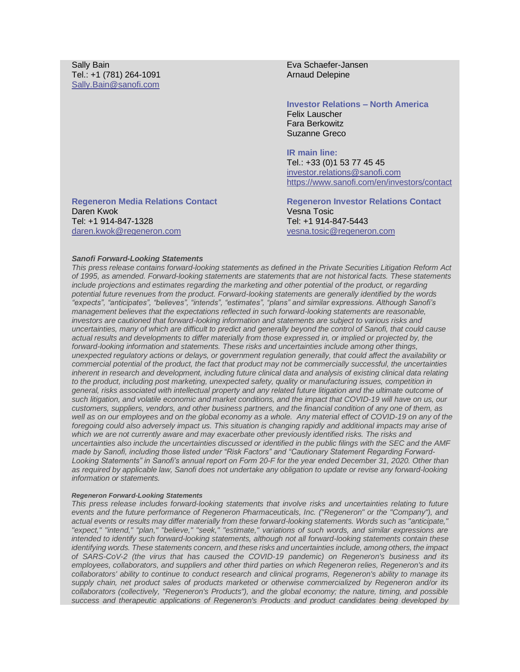Sally Bain Tel.: +1 (781) 264-1091 [Sally.Bain@sanofi.com](mailto:Sally.Bain@sanofi.com)

Eva Schaefer-Jansen Arnaud Delepine

#### **Investor Relations – North America**

Felix Lauscher Fara Berkowitz Suzanne Greco

**IR main line:** Tel.: +33 (0)1 53 77 45 45 [investor.relations@sanofi.com](mailto:investor.relations@sanofi.com) https://www.sanofi.com/en/investors/contact

**Regeneron Investor Relations Contact** Vesna Tosic Tel: +1 914-847-5443 [vesna.tosic@regeneron.com](mailto:vesna.tosic@regeneron.com)

**Regeneron Media Relations Contact** Daren Kwok Tel: +1 914-847-1328 [daren.kwok@regeneron.com](mailto:daren.kwok@regeneron.com)

#### *Sanofi Forward-Looking Statements*

*This press release contains forward-looking statements as defined in the Private Securities Litigation Reform Act of 1995, as amended. Forward-looking statements are statements that are not historical facts. These statements include projections and estimates regarding the marketing and other potential of the product, or regarding potential future revenues from the product. Forward-looking statements are generally identified by the words "expects", "anticipates", "believes", "intends", "estimates", "plans" and similar expressions. Although Sanofi's management believes that the expectations reflected in such forward-looking statements are reasonable, investors are cautioned that forward-looking information and statements are subject to various risks and uncertainties, many of which are difficult to predict and generally beyond the control of Sanofi, that could cause actual results and developments to differ materially from those expressed in, or implied or projected by, the forward-looking information and statements. These risks and uncertainties include among other things, unexpected regulatory actions or delays, or government regulation generally, that could affect the availability or commercial potential of the product, the fact that product may not be commercially successful, the uncertainties*  inherent in research and development, including future clinical data and analysis of existing clinical data relating to the product, including post marketing, unexpected safety, quality or manufacturing issues, competition in *general, risks associated with intellectual property and any related future litigation and the ultimate outcome of such litigation, and volatile economic and market conditions, and the impact that COVID-19 will have on us, our customers, suppliers, vendors, and other business partners, and the financial condition of any one of them, as*  well as on our employees and on the global economy as a whole. Any material effect of COVID-19 on any of the foregoing could also adversely impact us. This situation is changing rapidly and additional impacts may arise of *which we are not currently aware and may exacerbate other previously identified risks. The risks and uncertainties also include the uncertainties discussed or identified in the public filings with the SEC and the AMF made by Sanofi, including those listed under "Risk Factors" and "Cautionary Statement Regarding Forward-Looking Statements" in Sanofi's annual report on Form 20-F for the year ended December 31, 2020. Other than as required by applicable law, Sanofi does not undertake any obligation to update or revise any forward-looking information or statements.*

#### *Regeneron Forward-Looking Statements*

*This press release includes forward-looking statements that involve risks and uncertainties relating to future events and the future performance of Regeneron Pharmaceuticals, Inc. ("Regeneron" or the "Company"), and actual events or results may differ materially from these forward-looking statements. Words such as "anticipate," "expect," "intend," "plan," "believe," "seek," "estimate," variations of such words, and similar expressions are intended to identify such forward-looking statements, although not all forward-looking statements contain these identifying words. These statements concern, and these risks and uncertainties include, among others, the impact of SARS-CoV-2 (the virus that has caused the COVID-19 pandemic) on Regeneron's business and its employees, collaborators, and suppliers and other third parties on which Regeneron relies, Regeneron's and its collaborators' ability to continue to conduct research and clinical programs, Regeneron's ability to manage its*  supply chain, net product sales of products marketed or otherwise commercialized by Regeneron and/or its *collaborators (collectively, "Regeneron's Products"), and the global economy; the nature, timing, and possible success and therapeutic applications of Regeneron's Products and product candidates being developed by*